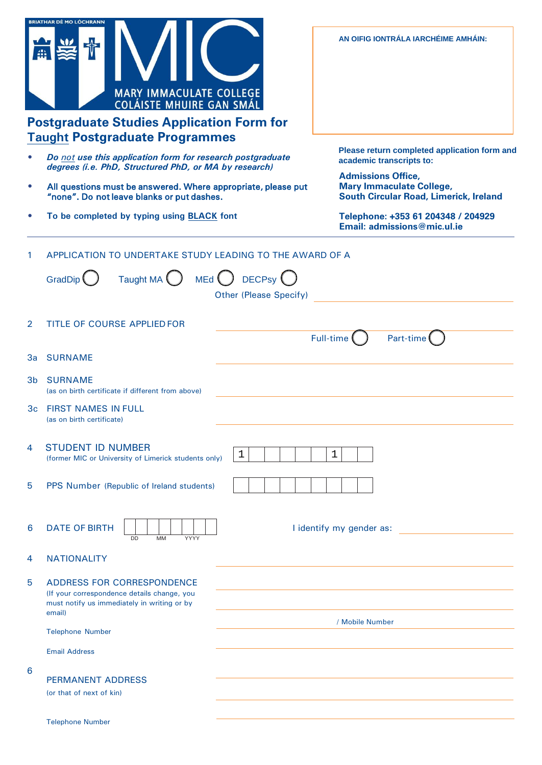|           | <b>BRIATHAR DÉ MO LÓCHRANN</b><br><b>MARY IMMACULATE COLLEGE</b><br><b>COLÁISTE MHUIRE GAN SMÁL</b><br><b>Postgraduate Studies Application Form for</b><br><b>Taught Postgraduate Programmes</b> |                                                                                                               | AN OIFIG IONTRÁLA IARCHÉIME AMHÁIN:                               |
|-----------|--------------------------------------------------------------------------------------------------------------------------------------------------------------------------------------------------|---------------------------------------------------------------------------------------------------------------|-------------------------------------------------------------------|
|           | Do not use this application form for research postgraduate<br>degrees (i.e. PhD, Structured PhD, or MA by research)                                                                              | Please return completed application form and<br>academic transcripts to:                                      |                                                                   |
| $\bullet$ | All questions must be answered. Where appropriate, please put<br>"none". Do not leave blanks or put dashes.                                                                                      | <b>Admissions Office,</b><br><b>Mary Immaculate College,</b><br><b>South Circular Road, Limerick, Ireland</b> |                                                                   |
|           | To be completed by typing using <b>BLACK</b> font                                                                                                                                                |                                                                                                               | Telephone: +353 61 204348 / 204929<br>Email: admissions@mic.ul.ie |
| 1.        | APPLICATION TO UNDERTAKE STUDY LEADING TO THE AWARD OF A<br>Taught MA $\bigcup$ MEd $\bigcup$ DECPsy $\bigcup$<br>GradDip                                                                        | <b>Other (Please Specify)</b>                                                                                 |                                                                   |
| 2         | TITLE OF COURSE APPLIED FOR                                                                                                                                                                      |                                                                                                               | Part-time $($<br>Full-time (                                      |
| За        | <b>SURNAME</b>                                                                                                                                                                                   |                                                                                                               |                                                                   |
|           | 3b SURNAME<br>(as on birth certificate if different from above)                                                                                                                                  |                                                                                                               |                                                                   |
| 3c        | <b>FIRST NAMES IN FULL</b><br>(as on birth certificate)                                                                                                                                          |                                                                                                               |                                                                   |
| 4         | <b>STUDENT ID NUMBER</b><br>(former MIC or University of Limerick students only)                                                                                                                 | $\mathbf 1$                                                                                                   | $\mathbf 1$                                                       |
| 5         | PPS Number (Republic of Ireland students)                                                                                                                                                        |                                                                                                               |                                                                   |
| 6         | <b>DATE OF BIRTH</b><br>DD<br><b>MM</b><br>YYYY                                                                                                                                                  |                                                                                                               | I identify my gender as:                                          |
| 4         | <b>NATIONALITY</b>                                                                                                                                                                               |                                                                                                               |                                                                   |
| 5         | ADDRESS FOR CORRESPONDENCE<br>(If your correspondence details change, you<br>must notify us immediately in writing or by<br>email)                                                               |                                                                                                               |                                                                   |
|           | <b>Telephone Number</b>                                                                                                                                                                          |                                                                                                               | / Mobile Number                                                   |
|           | <b>Email Address</b>                                                                                                                                                                             |                                                                                                               |                                                                   |
| 6         | <b>PERMANENT ADDRESS</b><br>(or that of next of kin)                                                                                                                                             |                                                                                                               |                                                                   |
|           | <b>Telephone Number</b>                                                                                                                                                                          |                                                                                                               |                                                                   |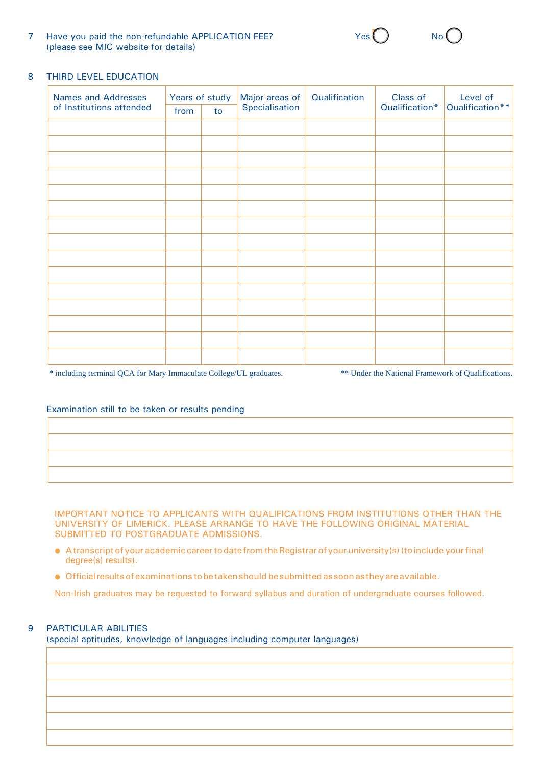7 Have you paid the non-refundable APPLICATION FEE? (please see MIC website for details)

## 8 THIRD LEVEL EDUCATION

| Names and Addresses      | Years of study |    | Major areas of | Qualification | Class of       | Level of        |
|--------------------------|----------------|----|----------------|---------------|----------------|-----------------|
| of Institutions attended | from           | to | Specialisation |               | Qualification* | Qualification** |
|                          |                |    |                |               |                |                 |
|                          |                |    |                |               |                |                 |
|                          |                |    |                |               |                |                 |
|                          |                |    |                |               |                |                 |
|                          |                |    |                |               |                |                 |
|                          |                |    |                |               |                |                 |
|                          |                |    |                |               |                |                 |
|                          |                |    |                |               |                |                 |
|                          |                |    |                |               |                |                 |
|                          |                |    |                |               |                |                 |
|                          |                |    |                |               |                |                 |
|                          |                |    |                |               |                |                 |
|                          |                |    |                |               |                |                 |
|                          |                |    |                |               |                |                 |
|                          |                |    |                |               |                |                 |

\* including terminal QCA for Mary Immaculate College/UL graduates. \*\*\* Under the National Framework of Qualifications.

#### Examination still to be taken or results pending

IMPORTANT NOTICE TO APPLICANTS WITH QUALIFICATIONS FROM INSTITUTIONS OTHER THAN THE UNIVERSITY OF LIMERICK. PLEASE ARRANGE TO HAVE THE FOLLOWING ORIGINAL MATERIAL SUBMITTED TO POSTGRADUATE ADMISSIONS.

- A transcript of your academic career to date from the Registrar of your university(s) (to include your final degree(s) results).
- Official results of examinations tobe taken should be submitted as soon as they are available.

Non-Irish graduates may be requested to forward syllabus and duration of undergraduate courses followed.

# 9 PARTICULAR ABILITIES

(special aptitudes, knowledge of languages including computer languages)

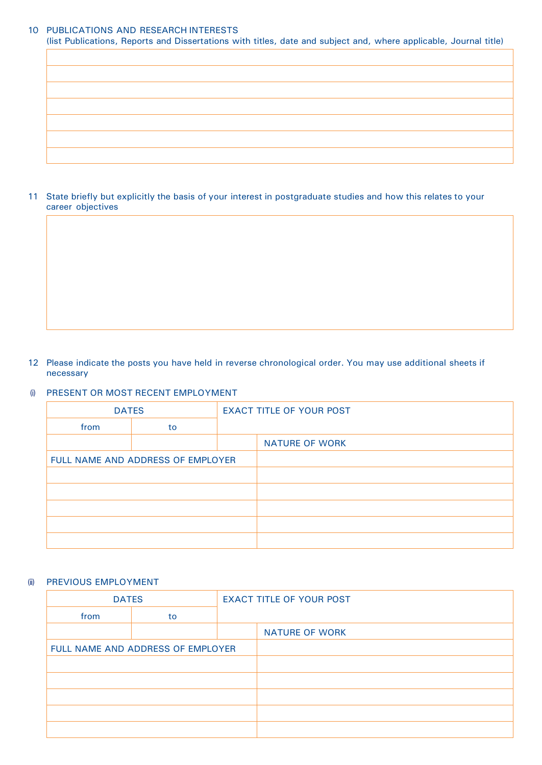# 10 PUBLICATIONS AND RESEARCH INTERESTS

(list Publications, Reports and Dissertations with titles, date and subject and, where applicable, Journal title)

11 State briefly but explicitly the basis of your interest in postgraduate studies and how this relates to your career objectives

## 12 Please indicate the posts you have held in reverse chronological order. You may use additional sheets if necessary

## (i) PRESENT OR MOST RECENT EMPLOYMENT

| <b>DATES</b>                      |    | <b>EXACT TITLE OF YOUR POST</b> |                       |
|-----------------------------------|----|---------------------------------|-----------------------|
| from                              | to |                                 |                       |
|                                   |    |                                 | <b>NATURE OF WORK</b> |
| FULL NAME AND ADDRESS OF EMPLOYER |    |                                 |                       |
|                                   |    |                                 |                       |
|                                   |    |                                 |                       |
|                                   |    |                                 |                       |
|                                   |    |                                 |                       |
|                                   |    |                                 |                       |

#### (ii) PREVIOUS EMPLOYMENT

| <b>DATES</b>                      |    | <b>EXACT TITLE OF YOUR POST</b> |                       |
|-----------------------------------|----|---------------------------------|-----------------------|
| from                              | to |                                 |                       |
|                                   |    |                                 | <b>NATURE OF WORK</b> |
| FULL NAME AND ADDRESS OF EMPLOYER |    |                                 |                       |
|                                   |    |                                 |                       |
|                                   |    |                                 |                       |
|                                   |    |                                 |                       |
|                                   |    |                                 |                       |
|                                   |    |                                 |                       |